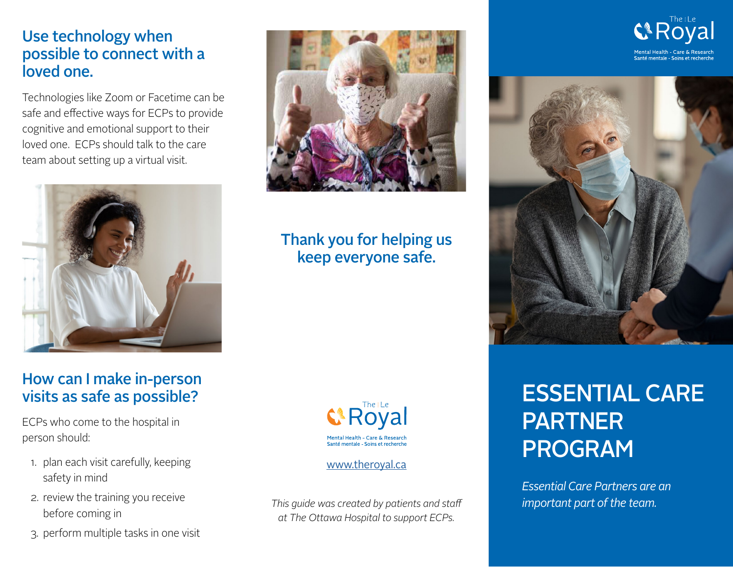#### Use technology when possible to connect with a loved one.

Technologies like Zoom or Facetime can be safe and effective ways for ECPs to provide cognitive and emotional support to their loved one. ECPs should talk to the care team about setting up a virtual visit.



#### How can I make in-person visits as safe as possible?

ECPs who come to the hospital in person should:

- 1. plan each visit carefully, keeping safety in mind
- 2. review the training you receive before coming in
- 3. perform multiple tasks in one visit



# Thank you for helping us keep everyone safe.



#### [www.theroyal.ca](https://www.theroyal.ca/patient-care-information/family-caregivers/essential-care-partners)

*This guide was created by patients and staff at The Ottawa Hospital to support ECPs.*



# ESSENTIAL CARE PARTNER PROGRAM

*Essential Care Partners are an important part of the team.*